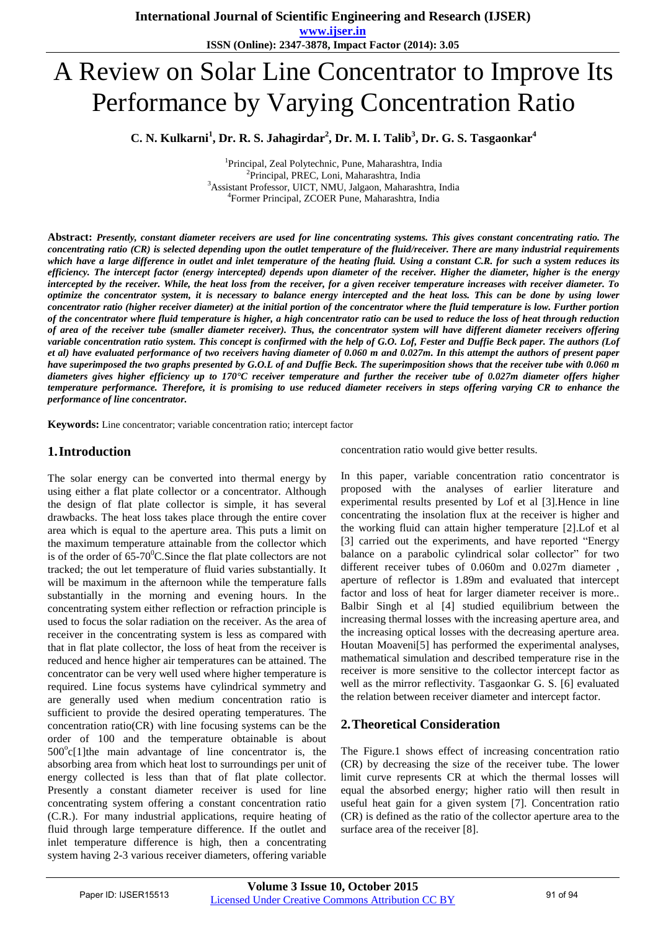**www.ijser.in ISSN (Online): 2347-3878, Impact Factor (2014): 3.05**

# A Review on Solar Line Concentrator to Improve Its Performance by Varying Concentration Ratio

**C. N. Kulkarni<sup>1</sup> , Dr. R. S. Jahagirdar<sup>2</sup> , Dr. M. I. Talib<sup>3</sup> , Dr. G. S. Tasgaonkar<sup>4</sup>**

 Principal, Zeal Polytechnic, Pune, Maharashtra, India <sup>2</sup>Principal, PREC, Loni, Maharashtra, India Assistant Professor, UICT, NMU, Jalgaon, Maharashtra, India Former Principal, ZCOER Pune, Maharashtra, India

**Abstract:** *Presently, constant diameter receivers are used for line concentrating systems. This gives constant concentrating ratio. The concentrating ratio (CR) is selected depending upon the outlet temperature of the fluid/receiver. There are many industrial requirements which have a large difference in outlet and inlet temperature of the heating fluid. Using a constant C.R. for such a system reduces its efficiency. The intercept factor (energy intercepted) depends upon diameter of the receiver. Higher the diameter, higher is the energy intercepted by the receiver. While, the heat loss from the receiver, for a given receiver temperature increases with receiver diameter. To optimize the concentrator system, it is necessary to balance energy intercepted and the heat loss. This can be done by using lower concentrator ratio (higher receiver diameter) at the initial portion of the concentrator where the fluid temperature is low. Further portion of the concentrator where fluid temperature is higher, a high concentrator ratio can be used to reduce the loss of heat through reduction of area of the receiver tube (smaller diameter receiver). Thus, the concentrator system will have different diameter receivers offering variable concentration ratio system. This concept is confirmed with the help of G.O. Lof, Fester and Duffie Beck paper. The authors (Lof et al) have evaluated performance of two receivers having diameter of 0.060 m and 0.027m. In this attempt the authors of present paper have superimposed the two graphs presented by G.O.L of and Duffie Beck. The superimposition shows that the receiver tube with 0.060 m diameters gives higher efficiency up to 170°C receiver temperature and further the receiver tube of 0.027m diameter offers higher temperature performance. Therefore, it is promising to use reduced diameter receivers in steps offering varying CR to enhance the performance of line concentrator.*

**Keywords:** Line concentrator; variable concentration ratio; intercept factor

## **1.Introduction**

The solar energy can be converted into thermal energy by using either a flat plate collector or a concentrator. Although the design of flat plate collector is simple, it has several drawbacks. The heat loss takes place through the entire cover area which is equal to the aperture area. This puts a limit on the maximum temperature attainable from the collector which is of the order of  $65-70^{\circ}$ C. Since the flat plate collectors are not tracked; the out let temperature of fluid varies substantially. It will be maximum in the afternoon while the temperature falls substantially in the morning and evening hours. In the concentrating system either reflection or refraction principle is used to focus the solar radiation on the receiver. As the area of receiver in the concentrating system is less as compared with that in flat plate collector, the loss of heat from the receiver is reduced and hence higher air temperatures can be attained. The concentrator can be very well used where higher temperature is required. Line focus systems have cylindrical symmetry and are generally used when medium concentration ratio is sufficient to provide the desired operating temperatures. The concentration ratio(CR) with line focusing systems can be the order of 100 and the temperature obtainable is about  $500^{\circ}$ c[1]the main advantage of line concentrator is, the absorbing area from which heat lost to surroundings per unit of energy collected is less than that of flat plate collector. Presently a constant diameter receiver is used for line concentrating system offering a constant concentration ratio (C.R.). For many industrial applications, require heating of fluid through large temperature difference. If the outlet and inlet temperature difference is high, then a concentrating system having 2-3 various receiver diameters, offering variable

concentration ratio would give better results.

In this paper, variable concentration ratio concentrator is proposed with the analyses of earlier literature and experimental results presented by Lof et al [3].Hence in line concentrating the insolation flux at the receiver is higher and the working fluid can attain higher temperature [2].Lof et al [3] carried out the experiments, and have reported "Energy balance on a parabolic cylindrical solar collector" for two different receiver tubes of 0.060m and 0.027m diameter , aperture of reflector is 1.89m and evaluated that intercept factor and loss of heat for larger diameter receiver is more.. Balbir Singh et al [4] studied equilibrium between the increasing thermal losses with the increasing aperture area, and the increasing optical losses with the decreasing aperture area. Houtan Moaveni[5] has performed the experimental analyses, mathematical simulation and described temperature rise in the receiver is more sensitive to the collector intercept factor as well as the mirror reflectivity. Tasgaonkar G. S. [6] evaluated the relation between receiver diameter and intercept factor.

## **2.Theoretical Consideration**

The Figure.1 shows effect of increasing concentration ratio (CR) by decreasing the size of the receiver tube. The lower limit curve represents CR at which the thermal losses will equal the absorbed energy; higher ratio will then result in useful heat gain for a given system [7]. Concentration ratio (CR) is defined as the ratio of the collector aperture area to the surface area of the receiver [8].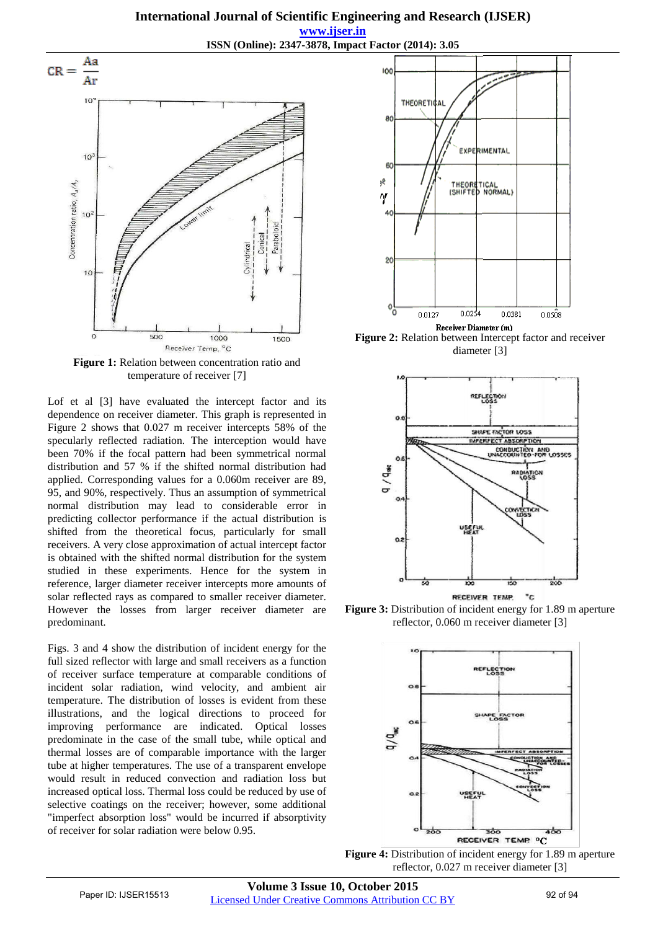

**Figure 1:** Relation between concentration ratio and temperature of receiver [7]

Lof et al [3] have evaluated the intercept factor and its dependence on receiver diameter. This graph is represented in Figure 2 shows that 0.027 m receiver intercepts 58% of the specularly reflected radiation. The interception would have been 70% if the focal pattern had been symmetrical normal distribution and 57 % if the shifted normal distribution had applied. Corresponding values for a 0.060m receiver are 89, 95, and 90%, respectively. Thus an assumption of symmetrical normal distribution may lead to considerable error in predicting collector performance if the actual distribution is shifted from the theoretical focus, particularly for small receivers. A very close approximation of actual intercept factor is obtained with the shifted normal distribution for the system studied in these experiments. Hence for the system in reference, larger diameter receiver intercepts more amounts of solar reflected rays as compared to smaller receiver diameter. However the losses from larger receiver diameter are predominant.

Figs. 3 and 4 show the distribution of incident energy for the full sized reflector with large and small receivers as a function of receiver surface temperature at comparable conditions of incident solar radiation, wind velocity, and ambient air temperature. The distribution of losses is evident from these illustrations, and the logical directions to proceed for improving performance are indicated. Optical losses predominate in the case of the small tube, while optical and thermal losses are of comparable importance with the larger tube at higher temperatures. The use of a transparent envelope would result in reduced convection and radiation loss but increased optical loss. Thermal loss could be reduced by use of selective coatings on the receiver; however, some additional "imperfect absorption loss" would be incurred if absorptivity of receiver for solar radiation were below 0.95.



Receiver Diameter (m) **Figure 2:** Relation between Intercept factor and receiver diameter [3]



**Figure 3:** Distribution of incident energy for 1.89 m aperture reflector, 0.060 m receiver diameter [3]



**Figure 4:** Distribution of incident energy for 1.89 m aperture reflector, 0.027 m receiver diameter [3]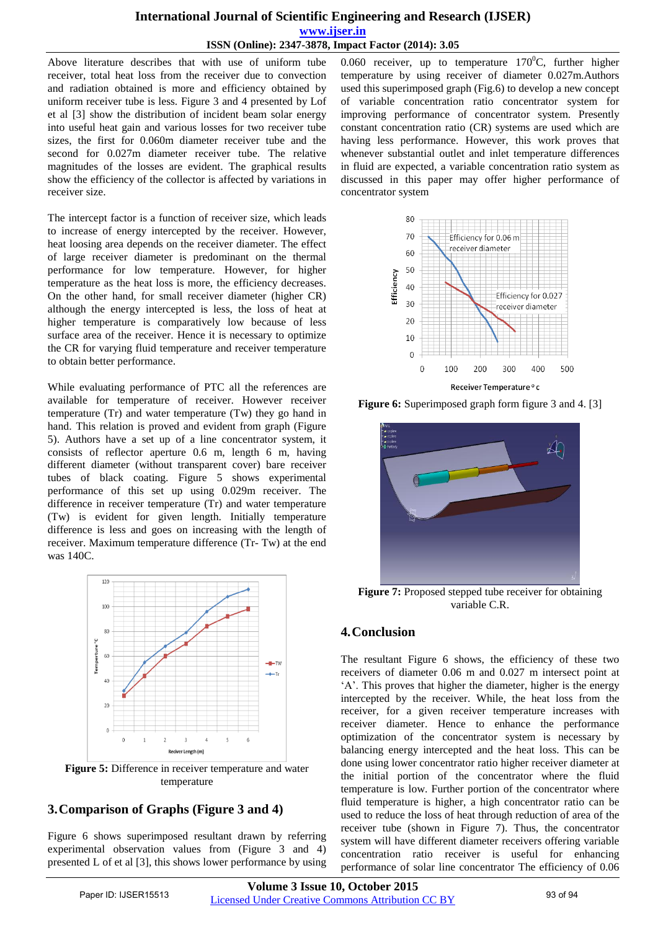## **International Journal of Scientific Engineering and Research (IJSER) www.ijser.in ISSN (Online): 2347-3878, Impact Factor (2014): 3.05**

Above literature describes that with use of uniform tube receiver, total heat loss from the receiver due to convection and radiation obtained is more and efficiency obtained by uniform receiver tube is less. Figure 3 and 4 presented by Lof et al [3] show the distribution of incident beam solar energy into useful heat gain and various losses for two receiver tube sizes, the first for 0.060m diameter receiver tube and the second for 0.027m diameter receiver tube. The relative magnitudes of the losses are evident. The graphical results show the efficiency of the collector is affected by variations in receiver size.

The intercept factor is a function of receiver size, which leads to increase of energy intercepted by the receiver. However, heat loosing area depends on the receiver diameter. The effect of large receiver diameter is predominant on the thermal performance for low temperature. However, for higher temperature as the heat loss is more, the efficiency decreases. On the other hand, for small receiver diameter (higher CR) although the energy intercepted is less, the loss of heat at higher temperature is comparatively low because of less surface area of the receiver. Hence it is necessary to optimize the CR for varying fluid temperature and receiver temperature to obtain better performance.

While evaluating performance of PTC all the references are available for temperature of receiver. However receiver temperature (Tr) and water temperature (Tw) they go hand in hand. This relation is proved and evident from graph (Figure 5). Authors have a set up of a line concentrator system, it consists of reflector aperture 0.6 m, length 6 m, having different diameter (without transparent cover) bare receiver tubes of black coating. Figure 5 shows experimental performance of this set up using 0.029m receiver. The difference in receiver temperature (Tr) and water temperature (Tw) is evident for given length. Initially temperature difference is less and goes on increasing with the length of receiver. Maximum temperature difference (Tr- Tw) at the end was 140C.



**Figure 5:** Difference in receiver temperature and water temperature

# **3.Comparison of Graphs (Figure 3 and 4)**

Figure 6 shows superimposed resultant drawn by referring experimental observation values from (Figure 3 and 4) presented L of et al [3], this shows lower performance by using 0.060 receiver, up to temperature  $170^{\circ}$ C, further higher temperature by using receiver of diameter 0.027m.Authors used this superimposed graph (Fig.6) to develop a new concept of variable concentration ratio concentrator system for improving performance of concentrator system. Presently constant concentration ratio (CR) systems are used which are having less performance. However, this work proves that whenever substantial outlet and inlet temperature differences in fluid are expected, a variable concentration ratio system as discussed in this paper may offer higher performance of concentrator system



**Figure 6:** Superimposed graph form figure 3 and 4. [3]



**Figure 7:** Proposed stepped tube receiver for obtaining variable C.R.

# **4.Conclusion**

The resultant Figure 6 shows, the efficiency of these two receivers of diameter 0.06 m and 0.027 m intersect point at "A". This proves that higher the diameter, higher is the energy intercepted by the receiver. While, the heat loss from the receiver, for a given receiver temperature increases with receiver diameter. Hence to enhance the performance optimization of the concentrator system is necessary by balancing energy intercepted and the heat loss. This can be done using lower concentrator ratio higher receiver diameter at the initial portion of the concentrator where the fluid temperature is low. Further portion of the concentrator where fluid temperature is higher, a high concentrator ratio can be used to reduce the loss of heat through reduction of area of the receiver tube (shown in Figure 7). Thus, the concentrator system will have different diameter receivers offering variable concentration ratio receiver is useful for enhancing performance of solar line concentrator The efficiency of 0.06